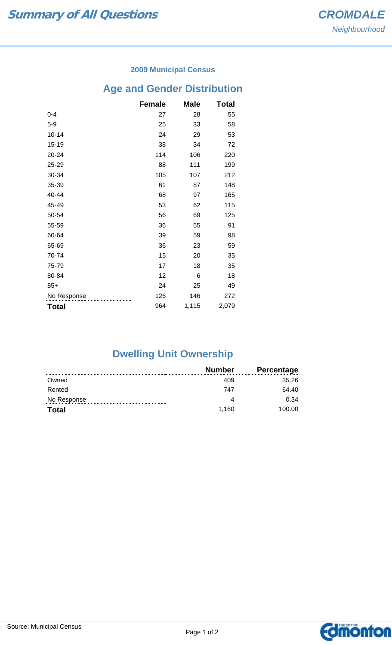#### **2009 Municipal Census**

# **Age and Gender Distribution**

|              | <b>Female</b> | <b>Male</b> | Total |
|--------------|---------------|-------------|-------|
| $0 - 4$      | 27            | 28          | 55    |
| $5-9$        | 25            | 33          | 58    |
| $10 - 14$    | 24            | 29          | 53    |
| 15-19        | 38            | 34          | 72    |
| 20-24        | 114           | 106         | 220   |
| 25-29        | 88            | 111         | 199   |
| 30-34        | 105           | 107         | 212   |
| 35-39        | 61            | 87          | 148   |
| 40-44        | 68            | 97          | 165   |
| 45-49        | 53            | 62          | 115   |
| 50-54        | 56            | 69          | 125   |
| 55-59        | 36            | 55          | 91    |
| 60-64        | 39            | 59          | 98    |
| 65-69        | 36            | 23          | 59    |
| 70-74        | 15            | 20          | 35    |
| 75-79        | 17            | 18          | 35    |
| 80-84        | 12            | 6           | 18    |
| $85+$        | 24            | 25          | 49    |
| No Response  | 126           | 146         | 272   |
| <b>Total</b> | 964           | 1,115       | 2,079 |

## **Dwelling Unit Ownership**

|              | <b>Number</b> | <b>Percentage</b> |
|--------------|---------------|-------------------|
| Owned        | 409           | 35.26             |
| Rented       | 747           | 64.40             |
| No Response  |               | 0.34              |
| <b>Total</b> | 1.160         | 100.00            |